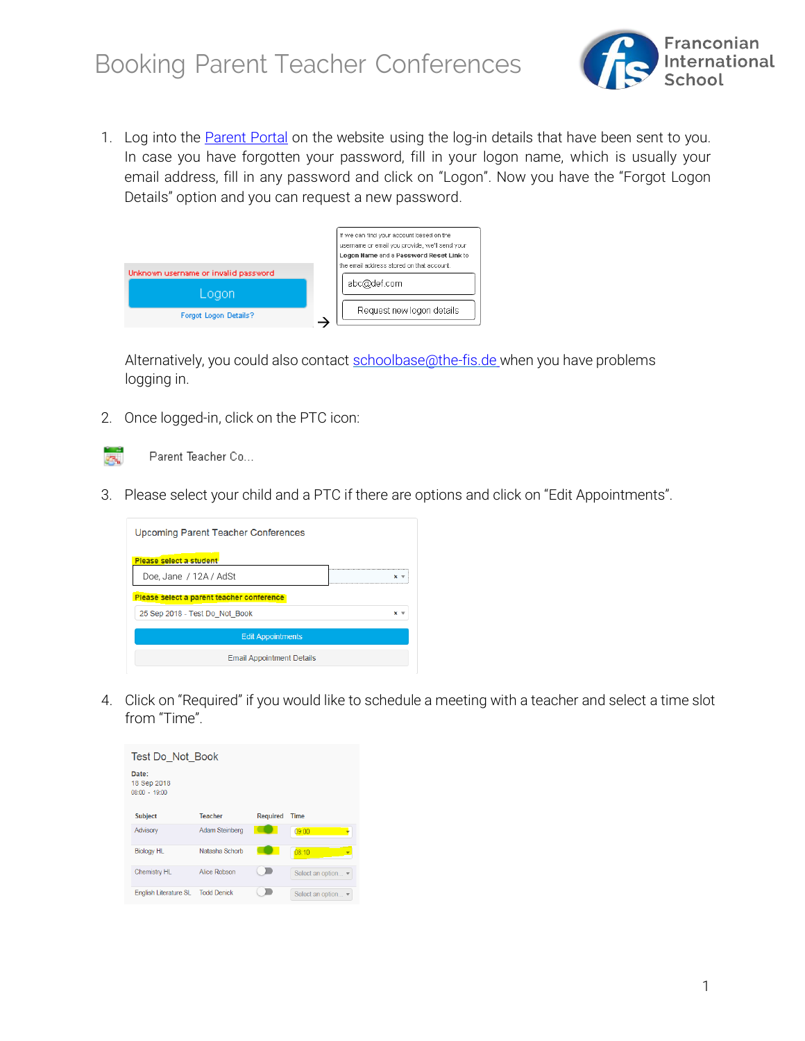

1. Log into the [Parent](http://schoolbase.the-fis.de/Logon?) Portal on the website using the log-in details that have been sent to you. In case you have forgotten your password, fill in your logon name, which is usually your email address, fill in any password and click on "Logon". Now you have the "Forgot Logon Details" option and you can request a new password.



Alternatively, you could also contact [schoolbase@the-fis.de](mailto:schoolbase@the-fis.de) when you have problems logging in.

2. Once logged-in, click on the PTC icon:



3. Please select your child and a PTC if there are options and click on "Edit Appointments".

| Upcoming Parent Teacher Conferences       |       |
|-------------------------------------------|-------|
| Please select a student                   |       |
| Doe, Jane / 12A / AdSt                    | $x -$ |
| Please select a parent teacher conference |       |
| 25 Sep 2018 - Test Do Not Book            | ×     |
| <b>Edit Appointments</b>                  |       |
| <b>Email Appointment Details</b>          |       |

4. Click on "Required" if you would like to schedule a meeting with a teacher and select a time slot from "Time".

| Test Do Not Book                        |                    |                 |                    |
|-----------------------------------------|--------------------|-----------------|--------------------|
| Date:<br>18 Sep 2018<br>$08:00 - 19:00$ |                    |                 |                    |
| <b>Subject</b>                          | <b>Teacher</b>     | <b>Required</b> | <b>Time</b>        |
| Advisory                                | Adam Steinberg     |                 | 09:00              |
| <b>Biology HL</b>                       | Natasha Schorb     |                 | 08:10              |
| <b>Chemistry HL</b>                     | Alice Robson       |                 | Select an option v |
| <b>English Literature SL</b>            | <b>Todd Denick</b> |                 | Select an option ▼ |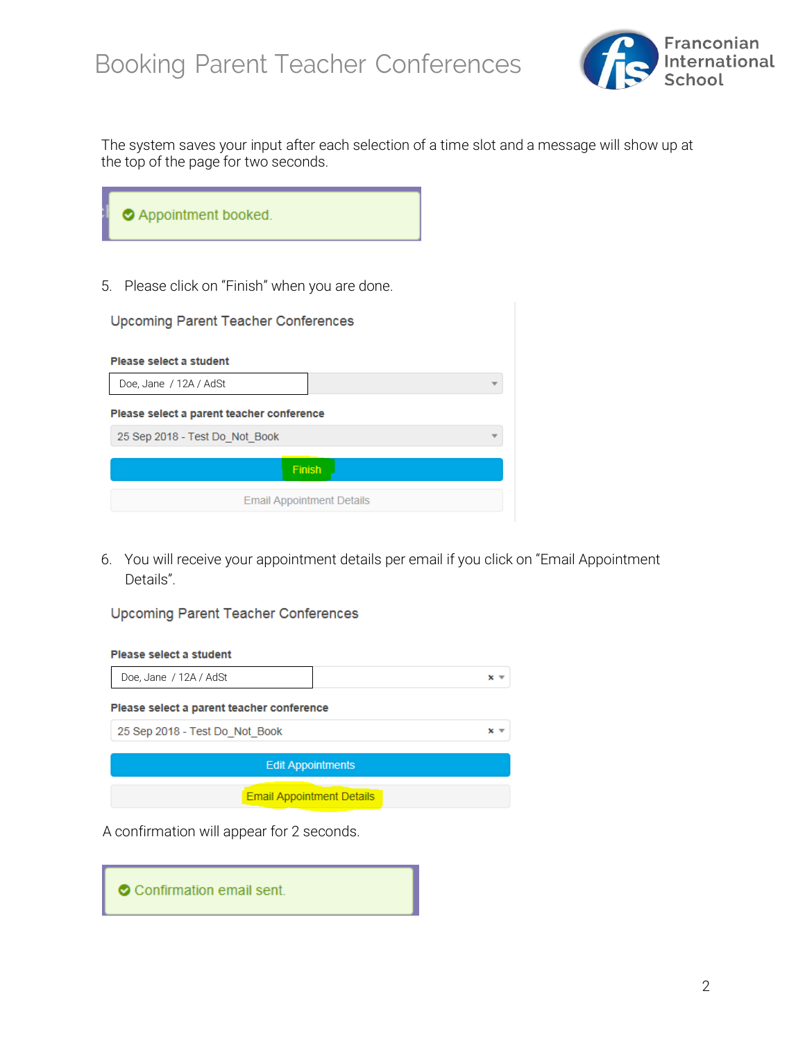

The system saves your input after each selection of a time slot and a message will show up at the top of the page for two seconds.

| Appointment booked. |
|---------------------|
|---------------------|

5. Please click on "Finish" when you are done.

| <b>Upcoming Parent Teacher Conferences</b> |                                  |
|--------------------------------------------|----------------------------------|
| Please select a student                    |                                  |
| Doe, Jane / 12A / AdSt                     |                                  |
| Please select a parent teacher conference  |                                  |
| 25 Sep 2018 - Test Do Not Book             |                                  |
|                                            | Finish                           |
|                                            | <b>Email Appointment Details</b> |

6. You will receive your appointment details per email if you click on "Email Appointment Details".

### Upcoming Parent Teacher Conferences

#### Please select a student

| Doe, Jane / 12A / AdSt                    | $x -$                            |
|-------------------------------------------|----------------------------------|
| Please select a parent teacher conference |                                  |
| 25 Sep 2018 - Test Do Not Book            | ×                                |
|                                           | <b>Edit Appointments</b>         |
|                                           | <b>Email Appointment Details</b> |

A confirmation will appear for 2 seconds.

|  | Confirmation email sent. |  |  |  |
|--|--------------------------|--|--|--|
|--|--------------------------|--|--|--|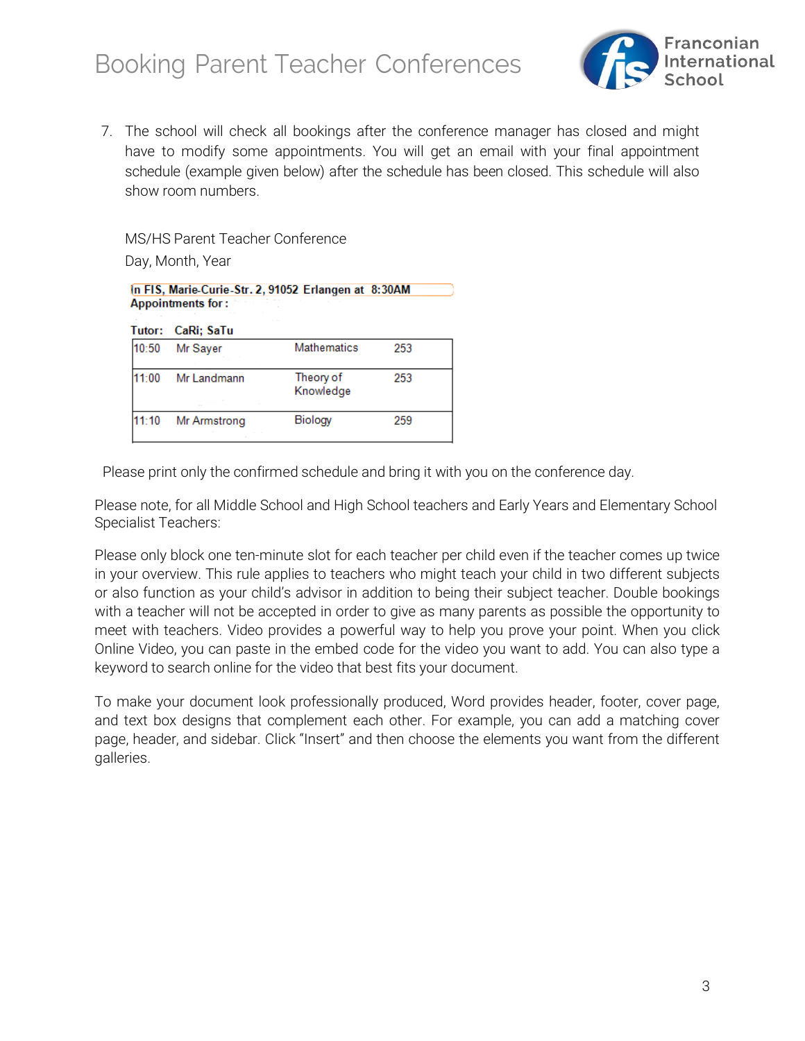

7. The school will check all bookings after the conference manager has closed and might have to modify some appointments. You will get an email with your final appointment schedule (example given below) after the schedule has been closed. This schedule will also show room numbers.

MS/HS Parent Teacher Conference

Day, Month, Year

| In FIS, Marie-Curie-Str. 2, 91052 Erlangen at 8:30AM<br><b>Appointments for:</b> |                   |                        |     |
|----------------------------------------------------------------------------------|-------------------|------------------------|-----|
|                                                                                  | Tutor: CaRi; SaTu |                        |     |
| 10:50                                                                            | Mr Saver          | <b>Mathematics</b>     | 253 |
| 11:00                                                                            | Mr Landmann       | Theory of<br>Knowledge | 253 |
| 1:10                                                                             | Mr Armstrong      | Biology                | 259 |

Please print only the confirmed schedule and bring it with you on the conference day.

Please note, for all Middle School and High School teachers and Early Years and Elementary School Specialist Teachers:

Please only block one ten-minute slot for each teacher per child even if the teacher comes up twice in your overview. This rule applies to teachers who might teach your child in two different subjects or also function as your child's advisor in addition to being their subject teacher. Double bookings with a teacher will not be accepted in order to give as many parents as possible the opportunity to meet with teachers. Video provides a powerful way to help you prove your point. When you click Online Video, you can paste in the embed code for the video you want to add. You can also type a keyword to search online for the video that best fits your document.

To make your document look professionally produced, Word provides header, footer, cover page, and text box designs that complement each other. For example, you can add a matching cover page, header, and sidebar. Click "Insert" and then choose the elements you want from the different galleries.